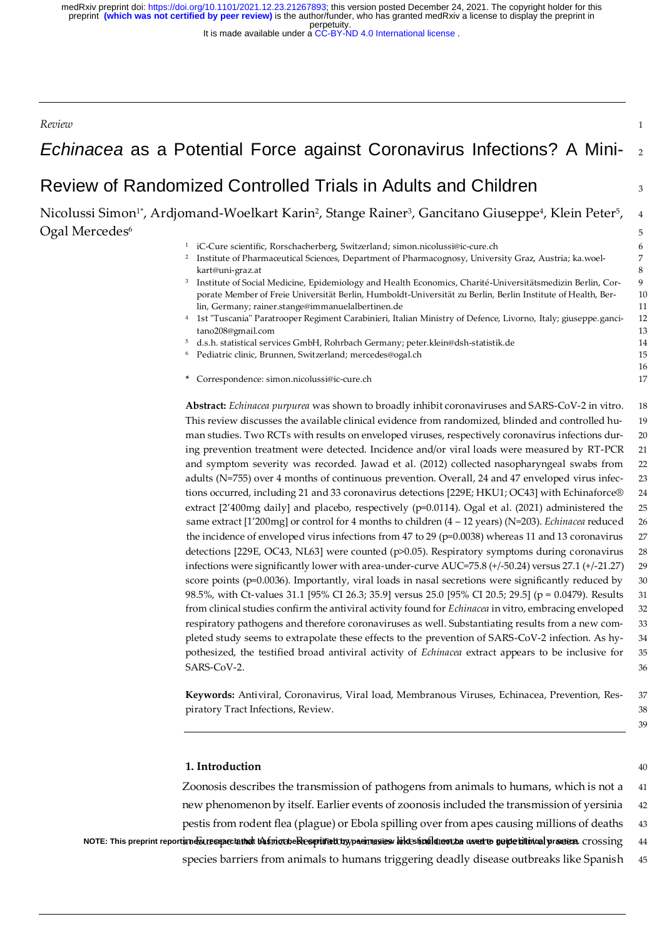perpetuity. medRxiv preprint doi: [https://doi.org/10.1101/2021.12.23.21267893;](https://doi.org/10.1101/2021.12.23.21267893) this version posted December 24, 2021. The copyright holder for this<br>preprint **(which was not certified by peer review)** is the author/funder, who has gran

It is made available under a [CC-BY-ND 4.0 International license](http://creativecommons.org/licenses/by-nd/4.0/) .

| Review                                                                                                                                                                                                                                                                                                                                                                                                                                                                                                                                                                                                                                                                                                                                                                                                                                                                                                                                                                                                                                                                                                                                                                                                                                                                                                                                                                                                                                                                                                                                                                                                                                                                                                | $\mathbf{1}$                                                                                                                            |
|-------------------------------------------------------------------------------------------------------------------------------------------------------------------------------------------------------------------------------------------------------------------------------------------------------------------------------------------------------------------------------------------------------------------------------------------------------------------------------------------------------------------------------------------------------------------------------------------------------------------------------------------------------------------------------------------------------------------------------------------------------------------------------------------------------------------------------------------------------------------------------------------------------------------------------------------------------------------------------------------------------------------------------------------------------------------------------------------------------------------------------------------------------------------------------------------------------------------------------------------------------------------------------------------------------------------------------------------------------------------------------------------------------------------------------------------------------------------------------------------------------------------------------------------------------------------------------------------------------------------------------------------------------------------------------------------------------|-----------------------------------------------------------------------------------------------------------------------------------------|
| <i>Echinacea</i> as a Potential Force against Coronavirus Infections? A Mini-                                                                                                                                                                                                                                                                                                                                                                                                                                                                                                                                                                                                                                                                                                                                                                                                                                                                                                                                                                                                                                                                                                                                                                                                                                                                                                                                                                                                                                                                                                                                                                                                                         | 2                                                                                                                                       |
| Review of Randomized Controlled Trials in Adults and Children                                                                                                                                                                                                                                                                                                                                                                                                                                                                                                                                                                                                                                                                                                                                                                                                                                                                                                                                                                                                                                                                                                                                                                                                                                                                                                                                                                                                                                                                                                                                                                                                                                         | 3                                                                                                                                       |
| Nicolussi Simon <sup>1*</sup> , Ardjomand-Woelkart Karin <sup>2</sup> , Stange Rainer <sup>3</sup> , Gancitano Giuseppe <sup>4</sup> , Klein Peter <sup>5</sup> ,<br>Ogal Mercedes <sup>6</sup><br>iC-Cure scientific, Rorschacherberg, Switzerland; simon.nicolussi@ic-cure.ch<br>$\mathbf{1}$<br><sup>2</sup> Institute of Pharmaceutical Sciences, Department of Pharmacognosy, University Graz, Austria; ka.woel-<br>kart@uni-graz.at<br>3<br>Institute of Social Medicine, Epidemiology and Health Economics, Charité-Universitätsmedizin Berlin, Cor-<br>porate Member of Freie Universität Berlin, Humboldt-Universität zu Berlin, Berlin Institute of Health, Ber-<br>lin, Germany; rainer.stange@immanuelalbertinen.de<br><sup>4</sup> 1st "Tuscania" Paratrooper Regiment Carabinieri, Italian Ministry of Defence, Livorno, Italy; giuseppe.ganci-<br>tano208@gmail.com<br>d.s.h. statistical services GmbH, Rohrbach Germany; peter.klein@dsh-statistik.de<br>5<br>Pediatric clinic, Brunnen, Switzerland; mercedes@ogal.ch<br>* Correspondence: simon.nicolussi@ic-cure.ch<br>Abstract: Echinacea purpurea was shown to broadly inhibit coronaviruses and SARS-CoV-2 in vitro.<br>This review discusses the available clinical evidence from randomized, blinded and controlled hu-                                                                                                                                                                                                                                                                                                                                                                                                      | $\overline{4}$<br>5<br>6<br>$\boldsymbol{7}$<br>$\,8\,$<br>$\boldsymbol{9}$<br>10<br>11<br>12<br>13<br>14<br>15<br>16<br>17<br>18<br>19 |
| man studies. Two RCTs with results on enveloped viruses, respectively coronavirus infections dur-<br>ing prevention treatment were detected. Incidence and/or viral loads were measured by RT-PCR<br>and symptom severity was recorded. Jawad et al. (2012) collected nasopharyngeal swabs from<br>adults (N=755) over 4 months of continuous prevention. Overall, 24 and 47 enveloped virus infec-<br>tions occurred, including 21 and 33 coronavirus detections [229E; HKU1; OC43] with Echinaforce®<br>extract [2'400mg daily] and placebo, respectively (p=0.0114). Ogal et al. (2021) administered the<br>same extract [1'200mg] or control for 4 months to children (4 - 12 years) (N=203). <i>Echinacea</i> reduced<br>the incidence of enveloped virus infections from 47 to 29 ( $p=0.0038$ ) whereas 11 and 13 coronavirus<br>detections [229E, OC43, NL63] were counted (p>0.05). Respiratory symptoms during coronavirus<br>infections were significantly lower with area-under-curve AUC=75.8 (+/-50.24) versus 27.1 (+/-21.27)<br>score points (p=0.0036). Importantly, viral loads in nasal secretions were significantly reduced by<br>98.5%, with Ct-values 31.1 [95% CI 26.3; 35.9] versus 25.0 [95% CI 20.5; 29.5] (p = 0.0479). Results<br>from clinical studies confirm the antiviral activity found for Echinacea in vitro, embracing enveloped<br>respiratory pathogens and therefore coronaviruses as well. Substantiating results from a new com-<br>pleted study seems to extrapolate these effects to the prevention of SARS-CoV-2 infection. As hy-<br>pothesized, the testified broad antiviral activity of Echinacea extract appears to be inclusive for<br>SARS-CoV-2. | 20<br>21<br>$22\,$<br>23<br>24<br>25<br>26<br>27<br>28<br>$29\,$<br>30<br>31<br>32<br>33<br>34<br>35<br>36                              |
| Keywords: Antiviral, Coronavirus, Viral load, Membranous Viruses, Echinacea, Prevention, Res-<br>piratory Tract Infections, Review.<br>1. Introduction<br>Zoonosis describes the transmission of pathogens from animals to humans, which is not a                                                                                                                                                                                                                                                                                                                                                                                                                                                                                                                                                                                                                                                                                                                                                                                                                                                                                                                                                                                                                                                                                                                                                                                                                                                                                                                                                                                                                                                     | 37<br>38<br>39<br>40<br>41                                                                                                              |
| new phenomenon by itself. Earlier events of zoonosis included the transmission of yersinia                                                                                                                                                                                                                                                                                                                                                                                                                                                                                                                                                                                                                                                                                                                                                                                                                                                                                                                                                                                                                                                                                                                                                                                                                                                                                                                                                                                                                                                                                                                                                                                                            | 42                                                                                                                                      |

pestis from rodent flea (plague) or Ebola spilling over from apes causing millions of deaths 43 note: this preprint reportsmebures actainet basinect elescritativ, pasmasses hikes indications as et to ne per citimed practica. crossing a 44 and the media of the film of the film of the film of the film of the film of th

species barriers from animals to humans triggering deadly disease outbreaks like Spanish 45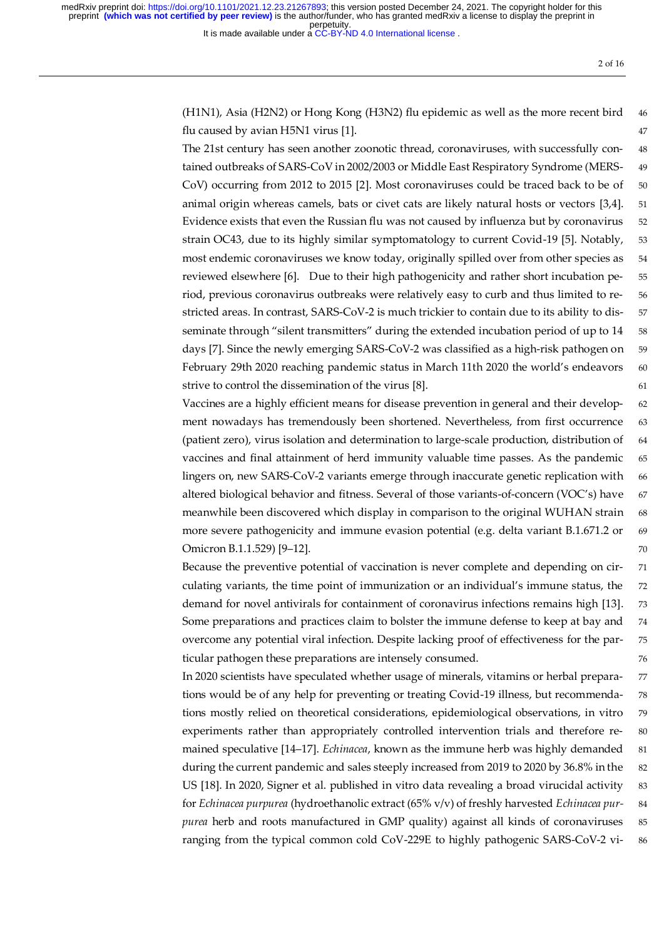It is made available under a [CC-BY-ND 4.0 International license](http://creativecommons.org/licenses/by-nd/4.0/) .

(H1N1), Asia (H2N2) or Hong Kong (H3N2) flu epidemic as well as the more recent bird 46 flu caused by avian H5N1 virus [1]. 47

The 21st century has seen another zoonotic thread, coronaviruses, with successfully con- 48 tained outbreaks of SARS-CoV in 2002/2003 or Middle East Respiratory Syndrome (MERS- 49 CoV) occurring from 2012 to 2015 [2]. Most coronaviruses could be traced back to be of 50 animal origin whereas camels, bats or civet cats are likely natural hosts or vectors [3,4]. 51 Evidence exists that even the Russian flu was not caused by influenza but by coronavirus 52 strain OC43, due to its highly similar symptomatology to current Covid-19 [5]. Notably, 53 most endemic coronaviruses we know today, originally spilled over from other species as 54 reviewed elsewhere [6]. Due to their high pathogenicity and rather short incubation pe- 55 riod, previous coronavirus outbreaks were relatively easy to curb and thus limited to re- 56 stricted areas. In contrast, SARS-CoV-2 is much trickier to contain due to its ability to dis- 57 seminate through "silent transmitters" during the extended incubation period of up to 14 58 days [7]. Since the newly emerging SARS-CoV-2 was classified as a high-risk pathogen on 59 February 29th 2020 reaching pandemic status in March 11th 2020 the world's endeavors 60 strive to control the dissemination of the virus [8]. 61

Vaccines are a highly efficient means for disease prevention in general and their develop- 62 ment nowadays has tremendously been shortened. Nevertheless, from first occurrence 63 (patient zero), virus isolation and determination to large-scale production, distribution of 64 vaccines and final attainment of herd immunity valuable time passes. As the pandemic 65 lingers on, new SARS-CoV-2 variants emerge through inaccurate genetic replication with 66 altered biological behavior and fitness. Several of those variants-of-concern (VOC's) have 67 meanwhile been discovered which display in comparison to the original WUHAN strain 68 more severe pathogenicity and immune evasion potential (e.g. delta variant B.1.671.2 or 69 Omicron B.1.1.529) [9–12]. 70

Because the preventive potential of vaccination is never complete and depending on cir- 71 culating variants, the time point of immunization or an individual's immune status, the 72 demand for novel antivirals for containment of coronavirus infections remains high [13]. 73 Some preparations and practices claim to bolster the immune defense to keep at bay and 74 overcome any potential viral infection. Despite lacking proof of effectiveness for the par- 75 ticular pathogen these preparations are intensely consumed. 76

In 2020 scientists have speculated whether usage of minerals, vitamins or herbal prepara- 77 tions would be of any help for preventing or treating Covid-19 illness, but recommenda- 78 tions mostly relied on theoretical considerations, epidemiological observations, in vitro 79 experiments rather than appropriately controlled intervention trials and therefore re- 80 mained speculative [14-17]. *Echinacea*, known as the immune herb was highly demanded 81 during the current pandemic and sales steeply increased from 2019 to 2020 by 36.8% in the 82 US [18]. In 2020, Signer et al. published in vitro data revealing a broad virucidal activity 83 for *Echinacea purpurea* (hydroethanolic extract (65% v/v) of freshly harvested *Echinacea pur-* 84 *purea* herb and roots manufactured in GMP quality) against all kinds of coronaviruses 85 ranging from the typical common cold CoV-229E to highly pathogenic SARS-CoV-2 vi- 86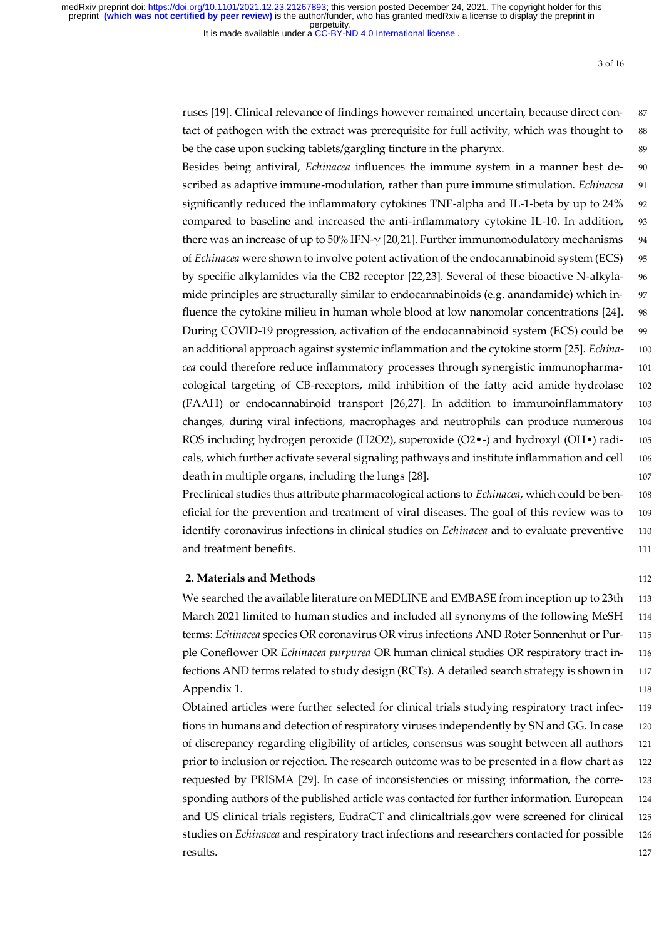It is made available under a [CC-BY-ND 4.0 International license](http://creativecommons.org/licenses/by-nd/4.0/) .

ruses [19]. Clinical relevance of findings however remained uncertain, because direct con- 87 tact of pathogen with the extract was prerequisite for full activity, which was thought to 88 be the case upon sucking tablets/gargling tincture in the pharynx.  $\qquad \qquad$  89

Besides being antiviral, *Echinacea* influences the immune system in a manner best de- 90 scribed as adaptive immune-modulation, rather than pure immune stimulation. *Echinacea* 91 significantly reduced the inflammatory cytokines TNF-alpha and IL-1-beta by up to 24% 92 compared to baseline and increased the anti-inflammatory cytokine IL-10. In addition, 93 there was an increase of up to 50% IFN- $\gamma$  [20,21]. Further immunomodulatory mechanisms 94 of *Echinacea* were shown to involve potent activation of the endocannabinoid system (ECS) 95 by specific alkylamides via the CB2 receptor [22,23]. Several of these bioactive N-alkyla- 96 mide principles are structurally similar to endocannabinoids (e.g. anandamide) which in- 97 fluence the cytokine milieu in human whole blood at low nanomolar concentrations [24]. 98 During COVID-19 progression, activation of the endocannabinoid system (ECS) could be 99 an additional approach against systemic inflammation and the cytokine storm [25]. *Echina-* 100 *cea* could therefore reduce inflammatory processes through synergistic immunopharma- 101 cological targeting of CB-receptors, mild inhibition of the fatty acid amide hydrolase 102 (FAAH) or endocannabinoid transport [26,27]. In addition to immunoinflammatory 103 changes, during viral infections, macrophages and neutrophils can produce numerous 104 ROS including hydrogen peroxide (H2O2), superoxide (O2 $\bullet$ -) and hydroxyl (OH $\bullet$ ) radi- 105 cals, which further activate several signaling pathways and institute inflammation and cell 106 death in multiple organs, including the lungs [28]. 107

Preclinical studies thus attribute pharmacological actions to *Echinacea*, which could be ben- 108 eficial for the prevention and treatment of viral diseases. The goal of this review was to 109 identify coronavirus infections in clinical studies on *Echinacea* and to evaluate preventive 110 and treatment benefits. The state of the state of the state of the state of the state of the state of the state of the state of the state of the state of the state of the state of the state of the state of the state of the

#### **2. Materials and Methods** 112

We searched the available literature on MEDLINE and EMBASE from inception up to 23th 113 March 2021 limited to human studies and included all synonyms of the following MeSH 114 terms: *Echinacea* species OR coronavirus OR virus infections AND Roter Sonnenhut or Pur- 115 ple Coneflower OR *Echinacea purpurea* OR human clinical studies OR respiratory tract in- 116 fections AND terms related to study design (RCTs). A detailed search strategy is shown in 117 Appendix 1. 118

Obtained articles were further selected for clinical trials studying respiratory tract infec- 119 tions in humans and detection of respiratory viruses independently by SN and GG. In case 120 of discrepancy regarding eligibility of articles, consensus was sought between all authors 121 prior to inclusion or rejection. The research outcome was to be presented in a flow chart as 122 requested by PRISMA [29]. In case of inconsistencies or missing information, the corre- 123 sponding authors of the published article was contacted for further information. European 124 and US clinical trials registers, EudraCT and clinicaltrials.gov were screened for clinical 125 studies on *Echinacea* and respiratory tract infections and researchers contacted for possible 126 **results.** 127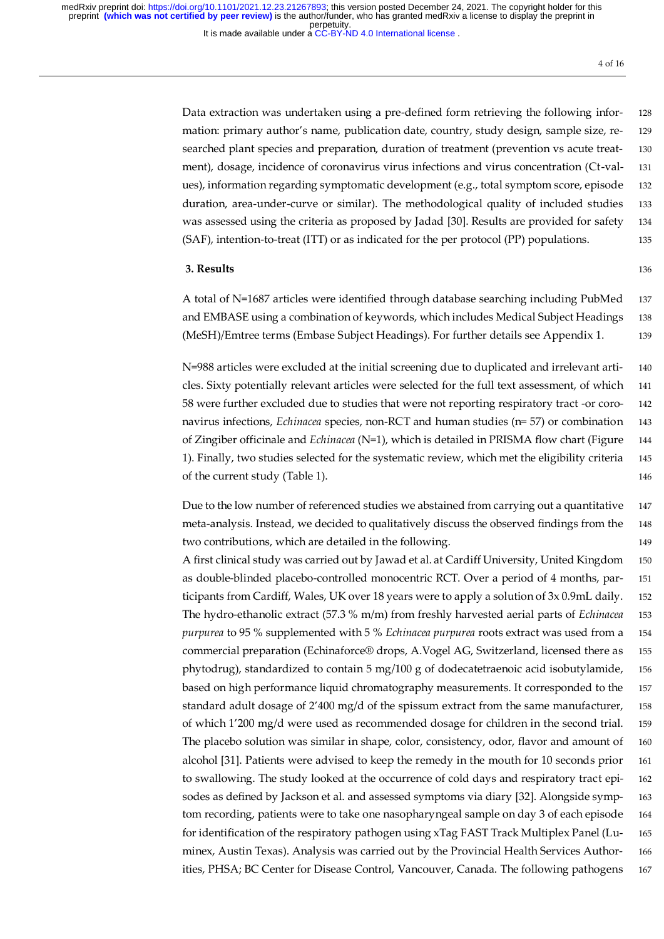It is made available under a [CC-BY-ND 4.0 International license](http://creativecommons.org/licenses/by-nd/4.0/) .

4 of 16

Data extraction was undertaken using a pre-defined form retrieving the following infor- 128 mation: primary author's name, publication date, country, study design, sample size, re- 129 searched plant species and preparation, duration of treatment (prevention vs acute treat- 130 ment), dosage, incidence of coronavirus virus infections and virus concentration (Ct-val- 131 ues), information regarding symptomatic development (e.g., total symptom score, episode 132 duration, area-under-curve or similar). The methodological quality of included studies 133 was assessed using the criteria as proposed by Jadad [30]. Results are provided for safety 134 (SAF), intention-to-treat (ITT) or as indicated for the per protocol (PP) populations. 135

#### **3. Results** 136

A total of N=1687 articles were identified through database searching including PubMed 137 and EMBASE using a combination of keywords, which includes Medical Subject Headings 138 (MeSH)/Emtree terms (Embase Subject Headings). For further details see Appendix 1. 139

N=988 articles were excluded at the initial screening due to duplicated and irrelevant arti- 140 cles. Sixty potentially relevant articles were selected for the full text assessment, of which 141 58 were further excluded due to studies that were not reporting respiratory tract -or coro- 142 navirus infections, *Echinacea* species, non-RCT and human studies (n= 57) or combination 143 of Zingiber officinale and *Echinacea* (N=1), which is detailed in PRISMA flow chart (Figure 144 1). Finally, two studies selected for the systematic review, which met the eligibility criteria 145 of the current study (Table 1). 146

Due to the low number of referenced studies we abstained from carrying out a quantitative 147 meta-analysis. Instead, we decided to qualitatively discuss the observed findings from the 148 two contributions, which are detailed in the following. 149

A first clinical study was carried out by Jawad et al. at Cardiff University, United Kingdom 150 as double-blinded placebo-controlled monocentric RCT. Over a period of 4 months, par- 151 ticipants from Cardiff, Wales, UK over 18 years were to apply a solution of 3x 0.9mL daily. 152 The hydro-ethanolic extract (57.3 % m/m) from freshly harvested aerial parts of *Echinacea* 153 *purpurea* to 95 % supplemented with 5 % *Echinacea purpurea* roots extract was used from a 154 commercial preparation (Echinaforce® drops, A.Vogel AG, Switzerland, licensed there as 155 phytodrug), standardized to contain 5 mg/100 g of dodecatetraenoic acid isobutylamide, 156 based on high performance liquid chromatography measurements. It corresponded to the 157 standard adult dosage of 2'400 mg/d of the spissum extract from the same manufacturer, 158 of which 1'200 mg/d were used as recommended dosage for children in the second trial. 159 The placebo solution was similar in shape, color, consistency, odor, flavor and amount of 160 alcohol [31]. Patients were advised to keep the remedy in the mouth for 10 seconds prior 161 to swallowing. The study looked at the occurrence of cold days and respiratory tract epi- 162 sodes as defined by Jackson et al. and assessed symptoms via diary [32]. Alongside symp- 163 tom recording, patients were to take one nasopharyngeal sample on day 3 of each episode 164 for identification of the respiratory pathogen using xTag FAST Track Multiplex Panel (Lu- 165 minex, Austin Texas). Analysis was carried out by the Provincial Health Services Author- 166 ities, PHSA; BC Center for Disease Control, Vancouver, Canada. The following pathogens 167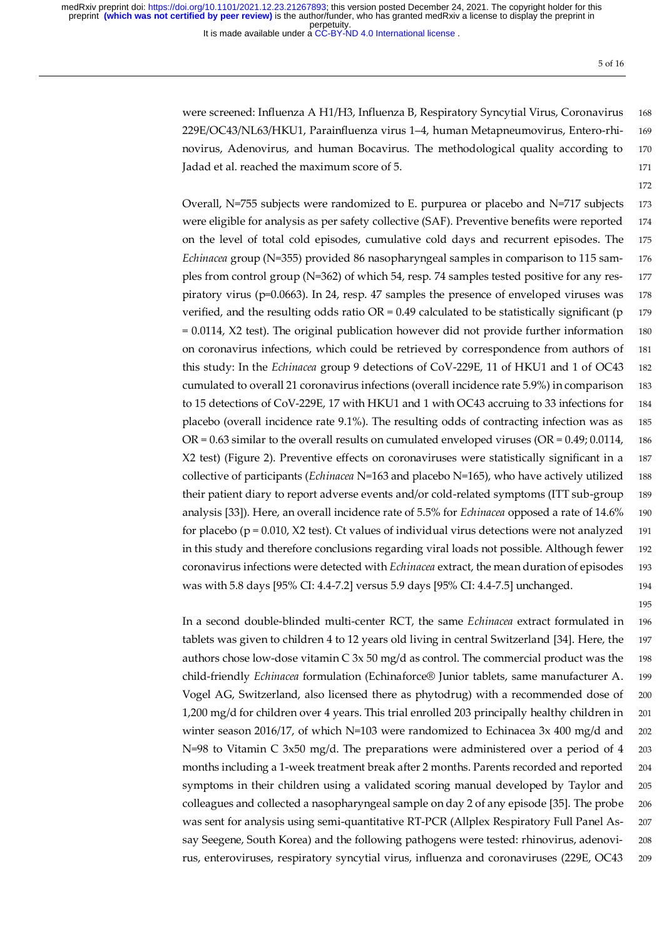It is made available under a [CC-BY-ND 4.0 International license](http://creativecommons.org/licenses/by-nd/4.0/) .

5 of 16

172

195

were screened: Influenza A H1/H3, Influenza B, Respiratory Syncytial Virus, Coronavirus 168 229E/OC43/NL63/HKU1, Parainfluenza virus 1–4, human Metapneumovirus, Entero-rhi- 169 novirus, Adenovirus, and human Bocavirus. The methodological quality according to 170 Iadad et al. reached the maximum score of 5. 171

Overall, N=755 subjects were randomized to E. purpurea or placebo and N=717 subjects 173 were eligible for analysis as per safety collective (SAF). Preventive benefits were reported 174 on the level of total cold episodes, cumulative cold days and recurrent episodes. The 175 *Echinacea* group (N=355) provided 86 nasopharyngeal samples in comparison to 115 sam- 176 ples from control group (N=362) of which 54, resp. 74 samples tested positive for any res- 177 piratory virus (p=0.0663). In 24, resp. 47 samples the presence of enveloped viruses was 178 verified, and the resulting odds ratio  $OR = 0.49$  calculated to be statistically significant (p 179)  $= 0.0114$ , X2 test). The original publication however did not provide further information 180 on coronavirus infections, which could be retrieved by correspondence from authors of 181 this study: In the *Echinacea* group 9 detections of CoV-229E, 11 of HKU1 and 1 of OC43 182 cumulated to overall 21 coronavirus infections (overall incidence rate 5.9%) in comparison 183 to 15 detections of CoV-229E, 17 with HKU1 and 1 with OC43 accruing to 33 infections for 184 placebo (overall incidence rate 9.1%). The resulting odds of contracting infection was as 185  $OR = 0.63$  similar to the overall results on cumulated enveloped viruses ( $OR = 0.49$ ; 0.0114, 186 X2 test) (Figure 2). Preventive effects on coronaviruses were statistically significant in a 187 collective of participants (*Echinacea* N=163 and placebo N=165), who have actively utilized 188 their patient diary to report adverse events and/or cold-related symptoms (ITT sub-group 189 analysis [33]). Here, an overall incidence rate of 5.5% for *Echinacea* opposed a rate of 14.6% 190 for placebo ( $p = 0.010$ , X2 test). Ct values of individual virus detections were not analyzed 191 in this study and therefore conclusions regarding viral loads not possible. Although fewer 192 coronavirus infections were detected with *Echinacea* extract, the mean duration of episodes 193 was with 5.8 days [95% CI: 4.4-7.2] versus 5.9 days [95% CI: 4.4-7.5] unchanged. 194

In a second double-blinded multi-center RCT, the same *Echinacea* extract formulated in 196 tablets was given to children 4 to 12 years old living in central Switzerland [34]. Here, the 197 authors chose low-dose vitamin C 3x 50 mg/d as control. The commercial product was the 198 child-friendly *Echinacea* formulation (Echinaforce® Junior tablets, same manufacturer A. 199 Vogel AG, Switzerland, also licensed there as phytodrug) with a recommended dose of 200 1,200 mg/d for children over 4 years. This trial enrolled 203 principally healthy children in 201 winter season 2016/17, of which N=103 were randomized to Echinacea 3x 400 mg/d and 202 N=98 to Vitamin C 3x50 mg/d. The preparations were administered over a period of 4 203 months including a 1-week treatment break after 2 months. Parents recorded and reported 204 symptoms in their children using a validated scoring manual developed by Taylor and 205 colleagues and collected a nasopharyngeal sample on day 2 of any episode [35]. The probe 206 was sent for analysis using semi-quantitative RT-PCR (Allplex Respiratory Full Panel As- 207 say Seegene, South Korea) and the following pathogens were tested: rhinovirus, adenovi- 208 rus, enteroviruses, respiratory syncytial virus, influenza and coronaviruses (229E, OC43 209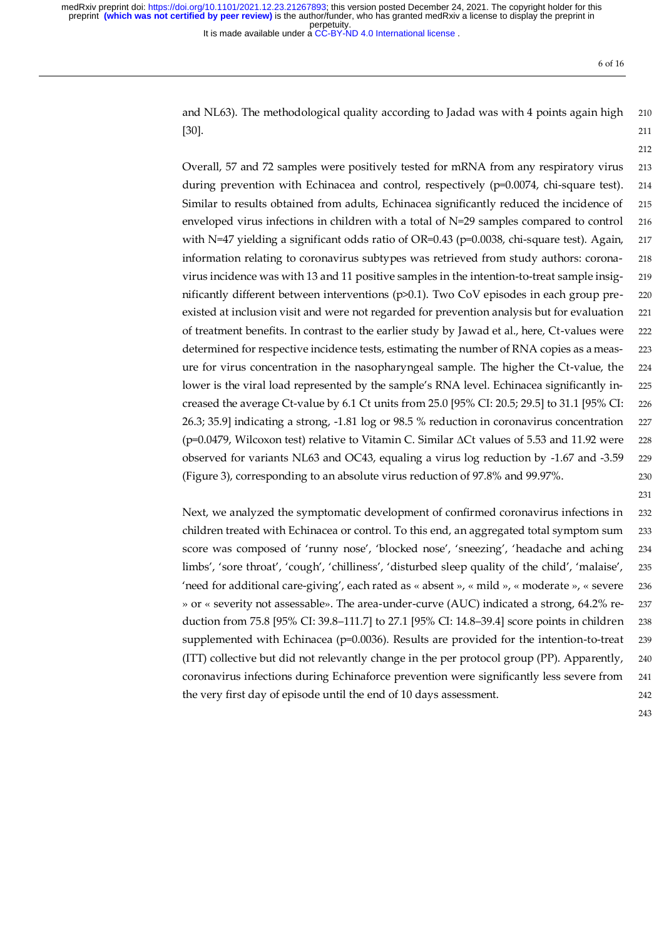It is made available under a [CC-BY-ND 4.0 International license](http://creativecommons.org/licenses/by-nd/4.0/) .

6 of 16

212

and NL63). The methodological quality according to Jadad was with 4 points again high 210 [30]. 211

Overall, 57 and 72 samples were positively tested for mRNA from any respiratory virus 213 during prevention with Echinacea and control, respectively (p=0.0074, chi-square test). 214 Similar to results obtained from adults, Echinacea significantly reduced the incidence of 215 enveloped virus infections in children with a total of N=29 samples compared to control 216 with N=47 yielding a significant odds ratio of OR=0.43 (p=0.0038, chi-square test). Again, 217 information relating to coronavirus subtypes was retrieved from study authors: corona- 218 virus incidence was with 13 and 11 positive samples in the intention-to-treat sample insig- 219 nificantly different between interventions (p>0.1). Two CoV episodes in each group pre- 220 existed at inclusion visit and were not regarded for prevention analysis but for evaluation 221 of treatment benefits. In contrast to the earlier study by Jawad et al., here, Ct-values were 222 determined for respective incidence tests, estimating the number of RNA copies as a meas- 223 ure for virus concentration in the nasopharyngeal sample. The higher the Ct-value, the 224 lower is the viral load represented by the sample's RNA level. Echinacea significantly in- 225 creased the average Ct-value by 6.1 Ct units from 25.0 [95% CI: 20.5; 29.5] to 31.1 [95% CI: 226 26.3; 35.9] indicating a strong, -1.81 log or 98.5 % reduction in coronavirus concentration 227 (p=0.0479, Wilcoxon test) relative to Vitamin C. Similar  $\Delta$ Ct values of 5.53 and 11.92 were 228 observed for variants NL63 and OC43, equaling a virus log reduction by -1.67 and -3.59 229 (Figure 3), corresponding to an absolute virus reduction of 97.8% and 99.97%. 230

Next, we analyzed the symptomatic development of confirmed coronavirus infections in 232 children treated with Echinacea or control. To this end, an aggregated total symptom sum 233 score was composed of 'runny nose', 'blocked nose', 'sneezing', 'headache and aching 234 limbs', 'sore throat', 'cough', 'chilliness', 'disturbed sleep quality of the child', 'malaise', 235 'need for additional care-giving', each rated as « absent », « mild », « moderate », « severe 236 » or « severity not assessable». The area-under-curve (AUC) indicated a strong, 64.2% re- 237 duction from 75.8 [95% CI: 39.8–111.7] to 27.1 [95% CI: 14.8–39.4] score points in children 238 supplemented with Echinacea (p=0.0036). Results are provided for the intention-to-treat 239 (ITT) collective but did not relevantly change in the per protocol group (PP). Apparently, 240 coronavirus infections during Echinaforce prevention were significantly less severe from 241 the very first day of episode until the end of 10 days assessment. 242

243

231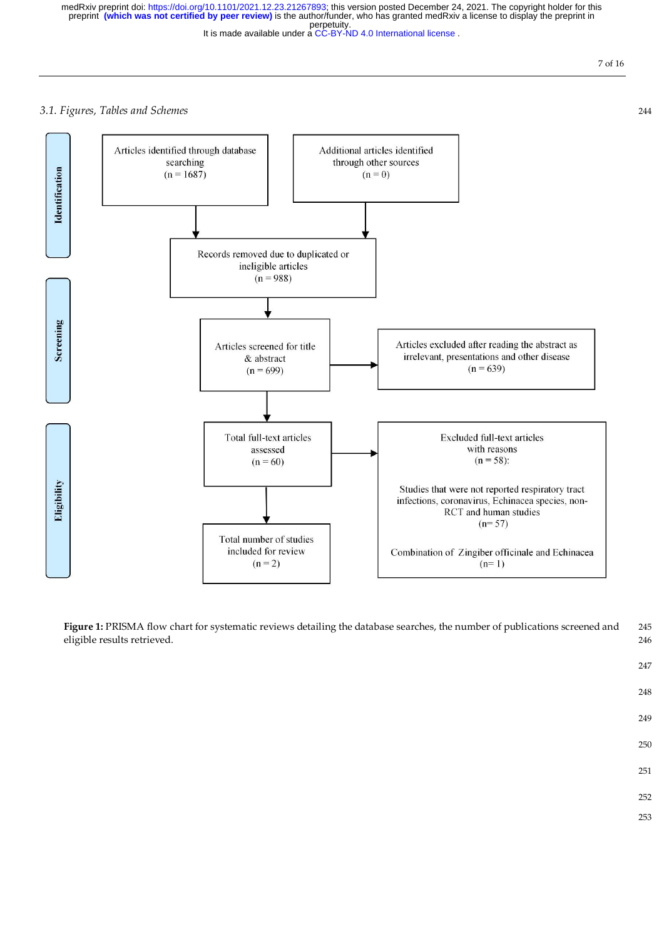It is made available under a [CC-BY-ND 4.0 International license](http://creativecommons.org/licenses/by-nd/4.0/) . perpetuity. medRxiv preprint doi: [https://doi.org/10.1101/2021.12.23.21267893;](https://doi.org/10.1101/2021.12.23.21267893) this version posted December 24, 2021. The copyright holder for this<br>preprint **(which was not certified by peer review)** is the author/funder, who has gran

7 of 16

# *3.1. Figures, Tables and Schemes* 244



Figure 1: PRISMA flow chart for systematic reviews detailing the database searches, the number of publications screened and 245 eligible results retrieved. 246

248

247

- 249
- 250
- 251
- 252
- 253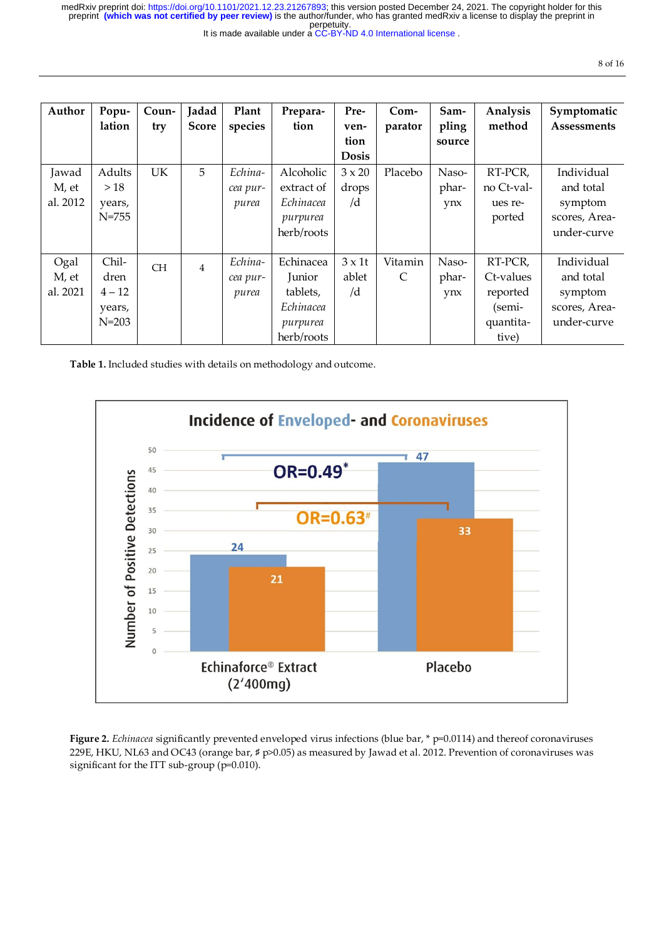perpetuity. medRxiv preprint doi: [https://doi.org/10.1101/2021.12.23.21267893;](https://doi.org/10.1101/2021.12.23.21267893) this version posted December 24, 2021. The copyright holder for this<br>preprint **(which was not certified by peer review)** is the author/funder, who has gran

|  |  | It is made available under a CC-BY-ND 4.0 International license. |
|--|--|------------------------------------------------------------------|
|--|--|------------------------------------------------------------------|

| Author                     | Popu-<br>lation                                  | Coun-<br>try | Jadad<br><b>Score</b> | Plant<br>species             | Prepara-<br>tion                                                       | Pre-<br>ven-<br>tion<br><b>Dosis</b> | $Com-$<br>parator       | Sam-<br>pling<br>source | Analysis<br>method                                               | Symptomatic<br>Assessments                                         |
|----------------------------|--------------------------------------------------|--------------|-----------------------|------------------------------|------------------------------------------------------------------------|--------------------------------------|-------------------------|-------------------------|------------------------------------------------------------------|--------------------------------------------------------------------|
| Jawad<br>M, et<br>al. 2012 | Adults<br>>18<br>years,<br>$N = 755$             | <b>UK</b>    | 5                     | Echina-<br>cea pur-<br>purea | Alcoholic<br>extract of<br>Echinacea<br>purpurea<br>herb/roots         | $3 \times 20$<br>drops<br>/d         | Placebo                 | Naso-<br>phar-<br>ynx   | RT-PCR,<br>no Ct-val-<br>ues re-<br>ported                       | Individual<br>and total<br>symptom<br>scores, Area-<br>under-curve |
| Ogal<br>M, et<br>al. 2021  | Chil-<br>dren<br>$4 - 12$<br>years,<br>$N = 203$ | <b>CH</b>    | $\overline{4}$        | Echina-<br>cea pur-<br>purea | Echinacea<br>Junior<br>tablets,<br>Echinacea<br>purpurea<br>herb/roots | $3 \times 1$ t<br>ablet<br>/d        | Vitamin<br>$\mathsf{C}$ | Naso-<br>phar-<br>ynx   | RT-PCR,<br>Ct-values<br>reported<br>(semi-<br>quantita-<br>tive) | Individual<br>and total<br>symptom<br>scores, Area-<br>under-curve |

**Table 1.** Included studies with details on methodology and outcome.



**Figure 2.** *Echinacea* significantly prevented enveloped virus infections (blue bar, \* p=0.0114) and thereof coronaviruses 229E, HKU, NL63 and OC43 (orange bar, ♯ p>0.05) as measured by Jawad et al. 2012. Prevention of coronaviruses was significant for the ITT sub-group (p=0.010).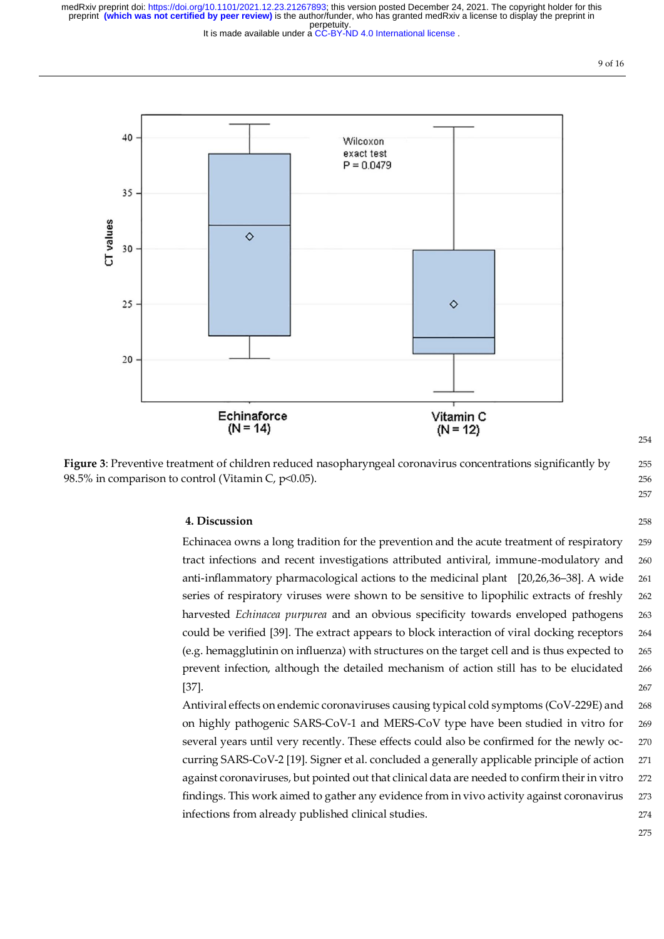It is made available under a [CC-BY-ND 4.0 International license](http://creativecommons.org/licenses/by-nd/4.0/) .





## **4. Discussion** 258

Echinacea owns a long tradition for the prevention and the acute treatment of respiratory 259 tract infections and recent investigations attributed antiviral, immune-modulatory and 260 anti-inflammatory pharmacological actions to the medicinal plant [20,26,36–38]. A wide 261 series of respiratory viruses were shown to be sensitive to lipophilic extracts of freshly 262 harvested *Echinacea purpurea* and an obvious specificity towards enveloped pathogens 263 could be verified [39]. The extract appears to block interaction of viral docking receptors 264 (e.g. hemagglutinin on influenza) with structures on the target cell and is thus expected to 265 prevent infection, although the detailed mechanism of action still has to be elucidated 266 [37]. 267 **267** 

Antiviral effects on endemic coronaviruses causing typical cold symptoms (CoV-229E) and 268 on highly pathogenic SARS-CoV-1 and MERS-CoV type have been studied in vitro for 269 several years until very recently. These effects could also be confirmed for the newly oc- 270 curring SARS-CoV-2 [19]. Signer et al. concluded a generally applicable principle of action 271 against coronaviruses, but pointed out that clinical data are needed to confirm their in vitro 272 findings. This work aimed to gather any evidence from in vivo activity against coronavirus 273 infections from already published clinical studies. 274

275

254

257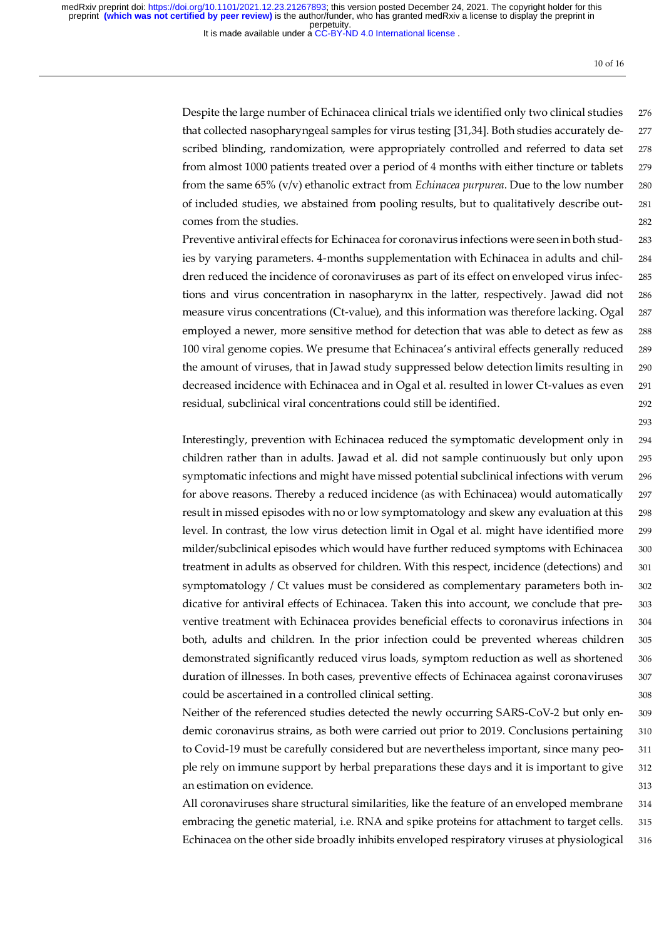It is made available under a [CC-BY-ND 4.0 International license](http://creativecommons.org/licenses/by-nd/4.0/) .

10 of 16

293

Despite the large number of Echinacea clinical trials we identified only two clinical studies 276 that collected nasopharyngeal samples for virus testing [31,34]. Both studies accurately de- 277 scribed blinding, randomization, were appropriately controlled and referred to data set 278 from almost 1000 patients treated over a period of 4 months with either tincture or tablets 279 from the same 65% (v/v) ethanolic extract from *Echinacea purpurea*. Due to the low number 280 of included studies, we abstained from pooling results, but to qualitatively describe out- 281 comes from the studies. 282

Preventive antiviral effects for Echinacea for coronavirus infections were seen in both stud- 283 ies by varying parameters. 4-months supplementation with Echinacea in adults and chil- 284 dren reduced the incidence of coronaviruses as part of its effect on enveloped virus infec- 285 tions and virus concentration in nasopharynx in the latter, respectively. Jawad did not 286 measure virus concentrations (Ct-value), and this information was therefore lacking. Ogal 287 employed a newer, more sensitive method for detection that was able to detect as few as 288 100 viral genome copies. We presume that Echinacea's antiviral effects generally reduced 289 the amount of viruses, that in Jawad study suppressed below detection limits resulting in 290 decreased incidence with Echinacea and in Ogal et al. resulted in lower Ct-values as even 291 residual, subclinical viral concentrations could still be identified. 292

Interestingly, prevention with Echinacea reduced the symptomatic development only in 294 children rather than in adults. Jawad et al. did not sample continuously but only upon 295 symptomatic infections and might have missed potential subclinical infections with verum 296 for above reasons. Thereby a reduced incidence (as with Echinacea) would automatically 297 result in missed episodes with no or low symptomatology and skew any evaluation at this 298 level. In contrast, the low virus detection limit in Ogal et al. might have identified more 299 milder/subclinical episodes which would have further reduced symptoms with Echinacea 300 treatment in adults as observed for children. With this respect, incidence (detections) and 301 symptomatology / Ct values must be considered as complementary parameters both in- 302 dicative for antiviral effects of Echinacea. Taken this into account, we conclude that pre- 303 ventive treatment with Echinacea provides beneficial effects to coronavirus infections in 304 both, adults and children. In the prior infection could be prevented whereas children 305 demonstrated significantly reduced virus loads, symptom reduction as well as shortened 306 duration of illnesses. In both cases, preventive effects of Echinacea against coronaviruses 307 could be ascertained in a controlled clinical setting. 308

Neither of the referenced studies detected the newly occurring SARS-CoV-2 but only en- 309 demic coronavirus strains, as both were carried out prior to 2019. Conclusions pertaining 310 to Covid-19 must be carefully considered but are nevertheless important, since many peo- 311 ple rely on immune support by herbal preparations these days and it is important to give 312 an estimation on evidence. 313

All coronaviruses share structural similarities, like the feature of an enveloped membrane 314 embracing the genetic material, i.e. RNA and spike proteins for attachment to target cells. 315 Echinacea on the other side broadly inhibits enveloped respiratory viruses at physiological 316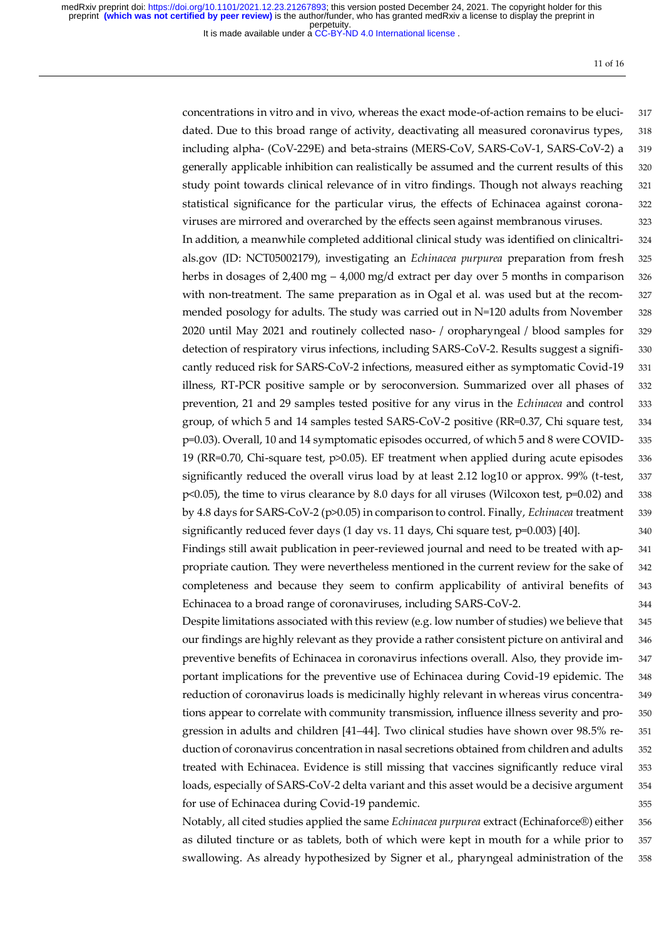It is made available under a [CC-BY-ND 4.0 International license](http://creativecommons.org/licenses/by-nd/4.0/) .

11 of 16

concentrations in vitro and in vivo, whereas the exact mode-of-action remains to be eluci- 317 dated. Due to this broad range of activity, deactivating all measured coronavirus types, 318 including alpha- (CoV-229E) and beta-strains (MERS-CoV, SARS-CoV-1, SARS-CoV-2) a 319 generally applicable inhibition can realistically be assumed and the current results of this 320 study point towards clinical relevance of in vitro findings. Though not always reaching 321 statistical significance for the particular virus, the effects of Echinacea against corona- 322 viruses are mirrored and overarched by the effects seen against membranous viruses. 323 In addition, a meanwhile completed additional clinical study was identified on clinicaltri- 324 als.gov (ID: NCT05002179), investigating an *Echinacea purpurea* preparation from fresh 325 herbs in dosages of 2,400 mg – 4,000 mg/d extract per day over 5 months in comparison  $326$ with non-treatment. The same preparation as in Ogal et al. was used but at the recom-<br>327 mended posology for adults. The study was carried out in N=120 adults from November 328 2020 until May 2021 and routinely collected naso- / oropharyngeal / blood samples for 329 detection of respiratory virus infections, including SARS-CoV-2. Results suggest a signifi- 330 cantly reduced risk for SARS-CoV-2 infections, measured either as symptomatic Covid-19 331 illness, RT-PCR positive sample or by seroconversion. Summarized over all phases of 332 prevention, 21 and 29 samples tested positive for any virus in the *Echinacea* and control 333 group, of which 5 and 14 samples tested SARS-CoV-2 positive (RR=0.37, Chi square test, 334 p=0.03). Overall, 10 and 14 symptomatic episodes occurred, of which 5 and 8 were COVID- 335 19 (RR=0.70, Chi-square test,  $p$ >0.05). EF treatment when applied during acute episodes 336 significantly reduced the overall virus load by at least 2.12 log10 or approx. 99% (t-test, 337 p<0.05), the time to virus clearance by 8.0 days for all viruses (Wilcoxon test, p=0.02) and 338 by 4.8 days for SARS-CoV-2 (p>0.05) in comparison to control. Finally, *Echinacea* treatment 339 significantly reduced fever days (1 day vs. 11 days, Chi square test, p=0.003) [40]. 340 Findings still await publication in peer-reviewed journal and need to be treated with ap- 341

propriate caution. They were nevertheless mentioned in the current review for the sake of 342 completeness and because they seem to confirm applicability of antiviral benefits of 343 Echinacea to a broad range of coronaviruses, including SARS-CoV-2. 344

Despite limitations associated with this review (e.g. low number of studies) we believe that 345 our findings are highly relevant as they provide a rather consistent picture on antiviral and 346 preventive benefits of Echinacea in coronavirus infections overall. Also, they provide im- 347 portant implications for the preventive use of Echinacea during Covid-19 epidemic. The 348 reduction of coronavirus loads is medicinally highly relevant in whereas virus concentra- 349 tions appear to correlate with community transmission, influence illness severity and pro- 350 gression in adults and children [41–44]. Two clinical studies have shown over 98.5% re- 351 duction of coronavirus concentration in nasal secretions obtained from children and adults 352 treated with Echinacea. Evidence is still missing that vaccines significantly reduce viral 353 loads, especially of SARS-CoV-2 delta variant and this asset would be a decisive argument 354 for use of Echinacea during Covid-19 pandemic. 355

Notably, all cited studies applied the same *Echinacea purpurea* extract (Echinaforce®) either 356 as diluted tincture or as tablets, both of which were kept in mouth for a while prior to 357 swallowing. As already hypothesized by Signer et al., pharyngeal administration of the 358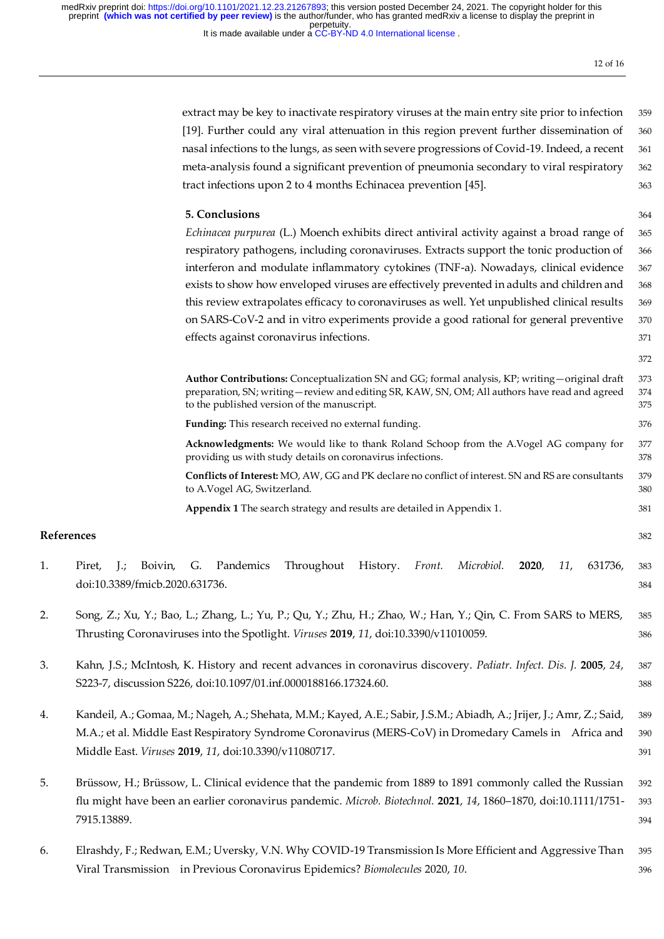It is made available under a CC-BY-ND 4.0 International license.

12 of 16

extract may be key to inactivate respiratory viruses at the main entry site prior to infection 359 [19]. Further could any viral attenuation in this region prevent further dissemination of 360 nasal infections to the lungs, as seen with severe progressions of Covid-19. Indeed, a recent 361 meta-analysis found a significant prevention of pneumonia secondary to viral respiratory 362 tract infections upon 2 to 4 months Echinacea prevention [45]. 363

## **5. Conclusions** 364

*Echinacea purpurea* (L.) Moench exhibits direct antiviral activity against a broad range of 365 respiratory pathogens, including coronaviruses. Extracts support the tonic production of 366 interferon and modulate inflammatory cytokines (TNF-a). Nowadays, clinical evidence 367 exists to show how enveloped viruses are effectively prevented in adults and children and 368 this review extrapolates efficacy to coronaviruses as well. Yet unpublished clinical results 369 on SARS-CoV-2 and in vitro experiments provide a good rational for general preventive 370 effects against coronavirus infections*.* 371

372

| <b>Author Contributions:</b> Conceptualization SN and GG; formal analysis, KP; writing – original draft | 373 |
|---------------------------------------------------------------------------------------------------------|-----|
| preparation, SN; writing—review and editing SR, KAW, SN, OM; All authors have read and agreed           | 374 |
| to the published version of the manuscript.                                                             | 375 |
| <b>Funding:</b> This research received no external funding.                                             | 376 |
| Acknowledgments: We would like to thank Roland Schoop from the A.Vogel AG company for                   | 377 |

providing us with study details on coronavirus infections. 378 **Conflicts of Interest:** MO, AW, GG and PK declare no conflict of interest. SN and RS are consultants 379

to A.Vogel AG, Switzerland. 380

**Appendix 1** The search strategy and results are detailed in Appendix 1. 381

### **References** 382

- 1. Piret, J.; Boivin, G. Pandemics Throughout History. *Front. Microbiol.* **2020**, *11*, 631736, 383 doi:10.3389/fmicb.2020.631736. 384
- 2. Song, Z.; Xu, Y.; Bao, L.; Zhang, L.; Yu, P.; Qu, Y.; Zhu, H.; Zhao, W.; Han, Y.; Qin, C. From SARS to MERS, 385 Thrusting Coronaviruses into the Spotlight. *Viruses* **2019**, *11*, doi:10.3390/v11010059. 386
- 3. Kahn, J.S.; McIntosh, K. History and recent advances in coronavirus discovery. *Pediatr. Infect. Dis. J.* **2005**, *24*, 387 S223-7, discussion S226, doi:10.1097/01.inf.0000188166.17324.60. 388
- 4. Kandeil, A.; Gomaa, M.; Nageh, A.; Shehata, M.M.; Kayed, A.E.; Sabir, J.S.M.; Abiadh, A.; Jrijer, J.; Amr, Z.; Said, 389 M.A.; et al. Middle East Respiratory Syndrome Coronavirus (MERS-CoV) in Dromedary Camels in Africa and 390 Middle East. *Viruses* **2019**, *11*, doi:10.3390/v11080717. 391
- 5. Brüssow, H.; Brüssow, L. Clinical evidence that the pandemic from 1889 to 1891 commonly called the Russian 392 flu might have been an earlier coronavirus pandemic. *Microb. Biotechnol.* **2021**, *14*, 1860–1870, doi:10.1111/1751- 393 7915.13889. 394
- 6. Elrashdy, F.; Redwan, E.M.; Uversky, V.N. Why COVID-19 Transmission Is More Efficient and Aggressive Than 395 Viral Transmission in Previous Coronavirus Epidemics? *Biomolecules* 2020, *10*. 396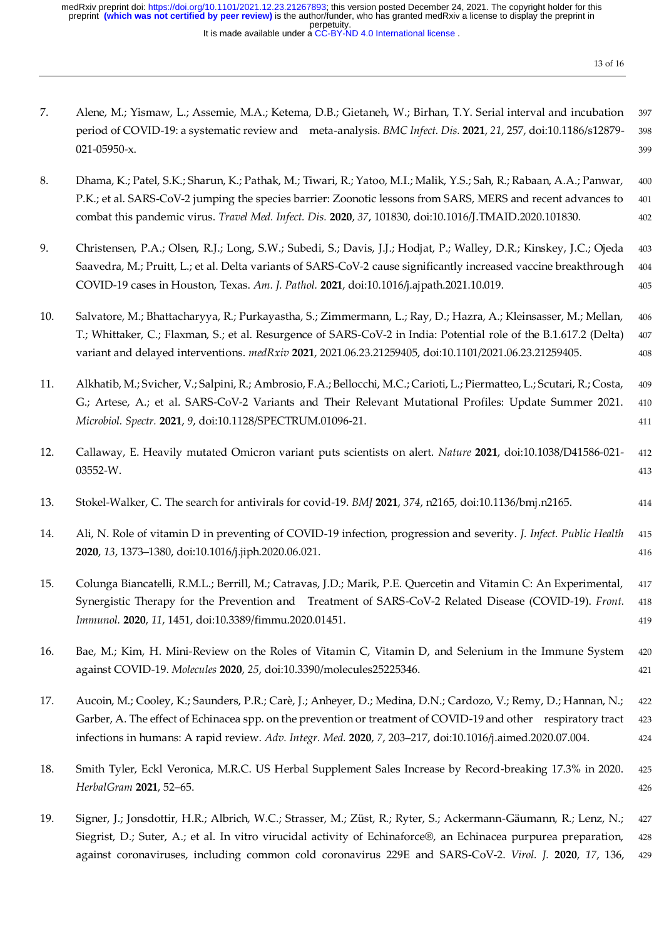It is made available under a [CC-BY-ND 4.0 International license](http://creativecommons.org/licenses/by-nd/4.0/) . perpetuity. medRxiv preprint doi: [https://doi.org/10.1101/2021.12.23.21267893;](https://doi.org/10.1101/2021.12.23.21267893) this version posted December 24, 2021. The copyright holder for this<br>preprint **(which was not certified by peer review)** is the author/funder, who has gran

13 of 16

| 7.  | Alene, M.; Yismaw, L.; Assemie, M.A.; Ketema, D.B.; Gietaneh, W.; Birhan, T.Y. Serial interval and incubation<br>period of COVID-19: a systematic review and meta-analysis. BMC Infect. Dis. 2021, 21, 257, doi:10.1186/s12879-<br>021-05950-x.                                                                                                 | 397<br>398<br>399     |
|-----|-------------------------------------------------------------------------------------------------------------------------------------------------------------------------------------------------------------------------------------------------------------------------------------------------------------------------------------------------|-----------------------|
| 8.  | Dhama, K.; Patel, S.K.; Sharun, K.; Pathak, M.; Tiwari, R.; Yatoo, M.I.; Malik, Y.S.; Sah, R.; Rabaan, A.A.; Panwar,<br>P.K.; et al. SARS-CoV-2 jumping the species barrier: Zoonotic lessons from SARS, MERS and recent advances to<br>combat this pandemic virus. Travel Med. Infect. Dis. 2020, 37, 101830, doi:10.1016/J.TMAID.2020.101830. | 400<br>401<br>402     |
| 9.  | Christensen, P.A.; Olsen, R.J.; Long, S.W.; Subedi, S.; Davis, J.J.; Hodjat, P.; Walley, D.R.; Kinskey, J.C.; Ojeda<br>Saavedra, M.; Pruitt, L.; et al. Delta variants of SARS-CoV-2 cause significantly increased vaccine breakthrough<br>COVID-19 cases in Houston, Texas. Am. J. Pathol. 2021, doi:10.1016/j.ajpath.2021.10.019.             | 403<br>$404\,$<br>405 |
| 10. | Salvatore, M.; Bhattacharyya, R.; Purkayastha, S.; Zimmermann, L.; Ray, D.; Hazra, A.; Kleinsasser, M.; Mellan,<br>T.; Whittaker, C.; Flaxman, S.; et al. Resurgence of SARS-CoV-2 in India: Potential role of the B.1.617.2 (Delta)<br>variant and delayed interventions. medRxiv 2021, 2021.06.23.21259405, doi:10.1101/2021.06.23.21259405.  | 406<br>407<br>408     |
| 11. | Alkhatib, M.; Svicher, V.; Salpini, R.; Ambrosio, F.A.; Bellocchi, M.C.; Carioti, L.; Piermatteo, L.; Scutari, R.; Costa,<br>G.; Artese, A.; et al. SARS-CoV-2 Variants and Their Relevant Mutational Profiles: Update Summer 2021.<br>Microbiol. Spectr. 2021, 9, doi:10.1128/SPECTRUM.01096-21.                                               | 409<br>410<br>411     |
| 12. | Callaway, E. Heavily mutated Omicron variant puts scientists on alert. Nature 2021, doi:10.1038/D41586-021-<br>03552-W.                                                                                                                                                                                                                         | 412<br>413            |
| 13. | Stokel-Walker, C. The search for antivirals for covid-19. BMJ 2021, 374, n2165, doi:10.1136/bmj.n2165.                                                                                                                                                                                                                                          | 414                   |
| 14. | Ali, N. Role of vitamin D in preventing of COVID-19 infection, progression and severity. J. Infect. Public Health<br>2020, 13, 1373-1380, doi:10.1016/j.jiph.2020.06.021.                                                                                                                                                                       | 415<br>416            |
| 15. | Colunga Biancatelli, R.M.L.; Berrill, M.; Catravas, J.D.; Marik, P.E. Quercetin and Vitamin C: An Experimental,<br>Synergistic Therapy for the Prevention and Treatment of SARS-CoV-2 Related Disease (COVID-19). Front.<br>Immunol. 2020, 11, 1451, doi:10.3389/fimmu.2020.01451.                                                              | 417<br>418<br>419     |
| 16. | Bae, M.; Kim, H. Mini-Review on the Roles of Vitamin C, Vitamin D, and Selenium in the Immune System<br>against COVID-19. Molecules 2020, 25, doi:10.3390/molecules25225346.                                                                                                                                                                    | 420<br>421            |
| 17. | Aucoin, M.; Cooley, K.; Saunders, P.R.; Carè, J.; Anheyer, D.; Medina, D.N.; Cardozo, V.; Remy, D.; Hannan, N.;<br>Garber, A. The effect of Echinacea spp. on the prevention or treatment of COVID-19 and other respiratory tract<br>infections in humans: A rapid review. Adv. Integr. Med. 2020, 7, 203-217, doi:10.1016/j.aimed.2020.07.004. | 422<br>423<br>424     |
| 18. | Smith Tyler, Eckl Veronica, M.R.C. US Herbal Supplement Sales Increase by Record-breaking 17.3% in 2020.<br>HerbalGram 2021, 52-65.                                                                                                                                                                                                             | 425<br>426            |
| 19. | Signer, J.; Jonsdottir, H.R.; Albrich, W.C.; Strasser, M.; Züst, R.; Ryter, S.; Ackermann-Gäumann, R.; Lenz, N.;<br>Siegrist, D.; Suter, A.; et al. In vitro virucidal activity of Echinaforce®, an Echinacea purpurea preparation,<br>against coronaviruses, including common cold coronavirus 229E and SARS-CoV-2. Virol. J. 2020, 17, 136,   | 427<br>428<br>429     |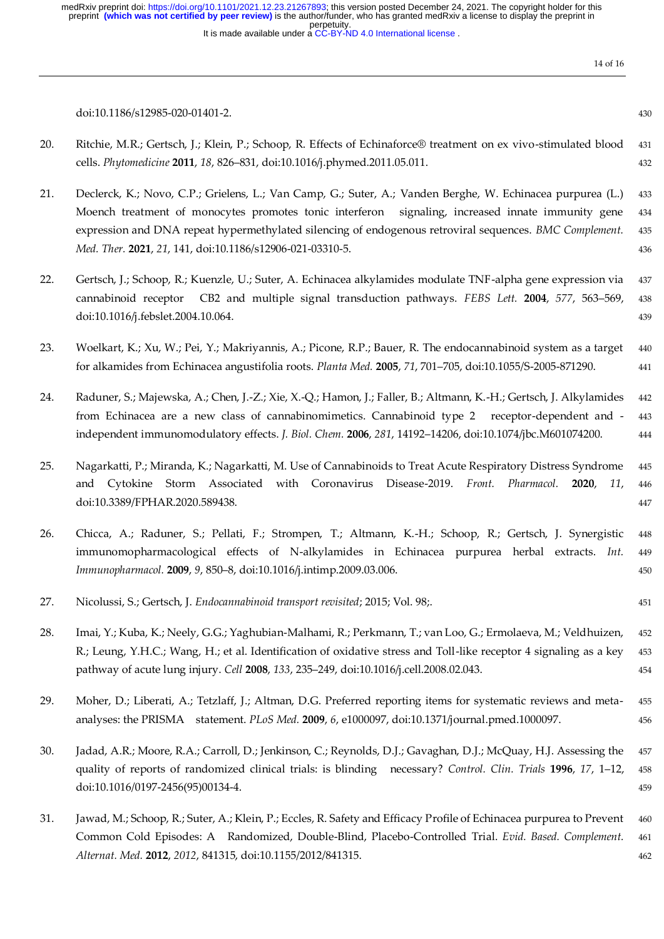It is made available under a CC-BY-ND 4.0 International license.

doi:10.1186/s12985-020-01401-2. 430

- 20. Ritchie, M.R.; Gertsch, J.; Klein, P.; Schoop, R. Effects of Echinaforce® treatment on ex vivo-stimulated blood 431 cells. *Phytomedicine* **2011**, *18*, 826–831, doi:10.1016/j.phymed.2011.05.011. 432
- 21. Declerck, K.; Novo, C.P.; Grielens, L.; Van Camp, G.; Suter, A.; Vanden Berghe, W. Echinacea purpurea (L.) 433 Moench treatment of monocytes promotes tonic interferon signaling, increased innate immunity gene 434 expression and DNA repeat hypermethylated silencing of endogenous retroviral sequences. *BMC Complement.* 435 *Med. Ther.* **2021**, *21*, 141, doi:10.1186/s12906-021-03310-5. 436
- 22. Gertsch, J.; Schoop, R.; Kuenzle, U.; Suter, A. Echinacea alkylamides modulate TNF-alpha gene expression via 437 cannabinoid receptor CB2 and multiple signal transduction pathways. *FEBS Lett.* **2004**, *577*, 563–569, 438 doi:10.1016/j.febslet.2004.10.064. 439
- 23. Woelkart, K.; Xu, W.; Pei, Y.; Makriyannis, A.; Picone, R.P.; Bauer, R. The endocannabinoid system as a target 440 for alkamides from Echinacea angustifolia roots. *Planta Med.* **2005**, *71*, 701–705, doi:10.1055/S-2005-871290. 441
- 24. Raduner, S.; Majewska, A.; Chen, J.-Z.; Xie, X.-Q.; Hamon, J.; Faller, B.; Altmann, K.-H.; Gertsch, J. Alkylamides 442 from Echinacea are a new class of cannabinomimetics. Cannabinoid type 2 receptor-dependent and - 443 independent immunomodulatory effects. *J. Biol. Chem.* **2006**, *281*, 14192–14206, doi:10.1074/jbc.M601074200. 444
- 25. Nagarkatti, P.; Miranda, K.; Nagarkatti, M. Use of Cannabinoids to Treat Acute Respiratory Distress Syndrome 445 and Cytokine Storm Associated with Coronavirus Disease-2019. *Front. Pharmacol.* **2020**, *11*, 446 doi:10.3389/FPHAR.2020.589438. 447
- 26. Chicca, A.; Raduner, S.; Pellati, F.; Strompen, T.; Altmann, K.-H.; Schoop, R.; Gertsch, J. Synergistic 448 immunomopharmacological effects of N-alkylamides in Echinacea purpurea herbal extracts. *Int.* 449 *Immunopharmacol.* **2009**, *9*, 850–8, doi:10.1016/j.intimp.2009.03.006. 450
- 27. Nicolussi, S.; Gertsch, J. *Endocannabinoid transport revisited*; 2015; Vol. 98;. 451
- 28. Imai, Y.; Kuba, K.; Neely, G.G.; Yaghubian-Malhami, R.; Perkmann, T.; van Loo, G.; Ermolaeva, M.; Veldhuizen, 452 R.; Leung, Y.H.C.; Wang, H.; et al. Identification of oxidative stress and Toll-like receptor 4 signaling as a key 453 pathway of acute lung injury. *Cell* **2008**, *133*, 235–249, doi:10.1016/j.cell.2008.02.043. 454
- 29. Moher, D.; Liberati, A.; Tetzlaff, J.; Altman, D.G. Preferred reporting items for systematic reviews and meta- 455 analyses: the PRISMA statement. *PLoS Med.* **2009**, *6*, e1000097, doi:10.1371/journal.pmed.1000097. 456
- 30. Jadad, A.R.; Moore, R.A.; Carroll, D.; Jenkinson, C.; Reynolds, D.J.; Gavaghan, D.J.; McQuay, H.J. Assessing the 457 quality of reports of randomized clinical trials: is blinding necessary? *Control. Clin. Trials* **1996**, *17*, 1–12, 458 doi:10.1016/0197-2456(95)00134-4. 459
- 31. Jawad, M.; Schoop, R.; Suter, A.; Klein, P.; Eccles, R. Safety and Efficacy Profile of Echinacea purpurea to Prevent 460 Common Cold Episodes: A Randomized, Double-Blind, Placebo-Controlled Trial. *Evid. Based. Complement.* 461 *Alternat. Med.* **2012**, *2012*, 841315, doi:10.1155/2012/841315. 462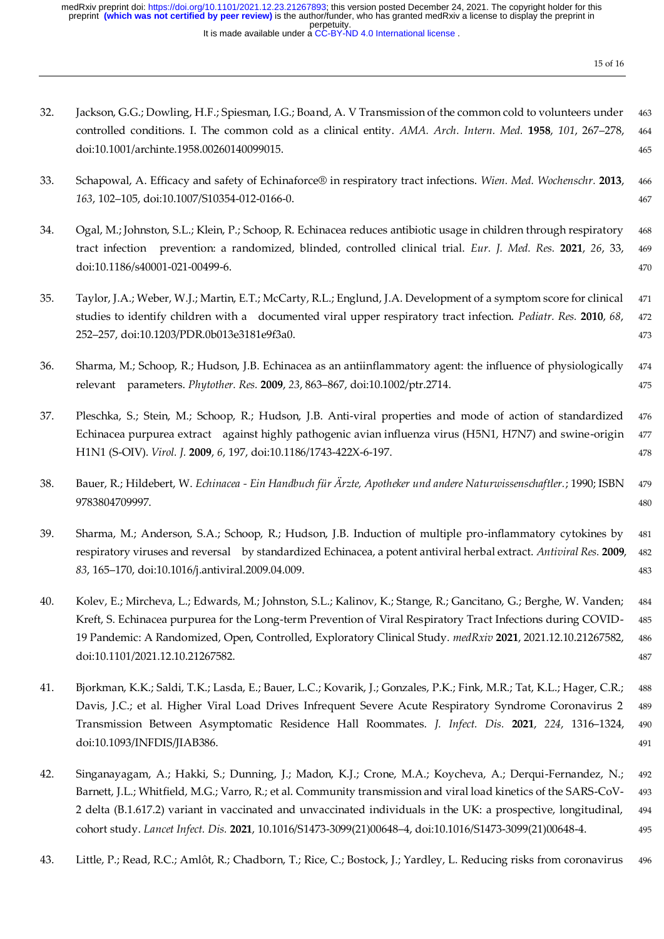perpetuity. medRxiv preprint doi: [https://doi.org/10.1101/2021.12.23.21267893;](https://doi.org/10.1101/2021.12.23.21267893) this version posted December 24, 2021. The copyright holder for this<br>preprint **(which was not certified by peer review)** is the author/funder, who has gran

It is made available under a [CC-BY-ND 4.0 International license](http://creativecommons.org/licenses/by-nd/4.0/) .

| 32. | Jackson, G.G.; Dowling, H.F.; Spiesman, I.G.; Boand, A. V Transmission of the common cold to volunteers under<br>controlled conditions. I. The common cold as a clinical entity. AMA. Arch. Intern. Med. 1958, 101, 267-278,<br>doi:10.1001/archinte.1958.00260140099015.                                                                                                                                                                                   | 463<br>464<br>465        |
|-----|-------------------------------------------------------------------------------------------------------------------------------------------------------------------------------------------------------------------------------------------------------------------------------------------------------------------------------------------------------------------------------------------------------------------------------------------------------------|--------------------------|
| 33. | Schapowal, A. Efficacy and safety of Echinaforce® in respiratory tract infections. Wien. Med. Wochenschr. 2013,<br>163, 102-105, doi:10.1007/S10354-012-0166-0.                                                                                                                                                                                                                                                                                             | 466<br>467               |
| 34. | Ogal, M.; Johnston, S.L.; Klein, P.; Schoop, R. Echinacea reduces antibiotic usage in children through respiratory<br>tract infection prevention: a randomized, blinded, controlled clinical trial. Eur. J. Med. Res. 2021, 26, 33,<br>doi:10.1186/s40001-021-00499-6.                                                                                                                                                                                      | 468<br>469<br>470        |
| 35. | Taylor, J.A.; Weber, W.J.; Martin, E.T.; McCarty, R.L.; Englund, J.A. Development of a symptom score for clinical<br>studies to identify children with a documented viral upper respiratory tract infection. Pediatr. Res. 2010, 68,<br>252-257, doi:10.1203/PDR.0b013e3181e9f3a0.                                                                                                                                                                          | 471<br>472<br>473        |
| 36. | Sharma, M.; Schoop, R.; Hudson, J.B. Echinacea as an antiinflammatory agent: the influence of physiologically<br>relevant parameters. Phytother. Res. 2009, 23, 863-867, doi:10.1002/ptr.2714.                                                                                                                                                                                                                                                              | 474<br>475               |
| 37. | Pleschka, S.; Stein, M.; Schoop, R.; Hudson, J.B. Anti-viral properties and mode of action of standardized<br>Echinacea purpurea extract against highly pathogenic avian influenza virus (H5N1, H7N7) and swine-origin<br>H1N1 (S-OIV). Virol. J. 2009, 6, 197, doi:10.1186/1743-422X-6-197.                                                                                                                                                                | 476<br>477<br>478        |
| 38. | Bauer, R.; Hildebert, W. Echinacea - Ein Handbuch für Ärzte, Apotheker und andere Naturwissenschaftler.; 1990; ISBN<br>9783804709997.                                                                                                                                                                                                                                                                                                                       | 479<br>480               |
| 39. | Sharma, M.; Anderson, S.A.; Schoop, R.; Hudson, J.B. Induction of multiple pro-inflammatory cytokines by<br>respiratory viruses and reversal by standardized Echinacea, a potent antiviral herbal extract. Antiviral Res. 2009,<br>83, 165-170, doi:10.1016/j.antiviral.2009.04.009.                                                                                                                                                                        | 481<br>482<br>483        |
| 40. | Kolev, E.; Mircheva, L.; Edwards, M.; Johnston, S.L.; Kalinov, K.; Stange, R.; Gancitano, G.; Berghe, W. Vanden;<br>Kreft, S. Echinacea purpurea for the Long-term Prevention of Viral Respiratory Tract Infections during COVID-<br>19 Pandemic: A Randomized, Open, Controlled, Exploratory Clinical Study. medRxiv 2021, 2021.12.10.21267582,<br>doi:10.1101/2021.12.10.21267582.                                                                        | 484<br>485<br>486<br>487 |
| 41. | Bjorkman, K.K.; Saldi, T.K.; Lasda, E.; Bauer, L.C.; Kovarik, J.; Gonzales, P.K.; Fink, M.R.; Tat, K.L.; Hager, C.R.;<br>Davis, J.C.; et al. Higher Viral Load Drives Infrequent Severe Acute Respiratory Syndrome Coronavirus 2<br>Transmission Between Asymptomatic Residence Hall Roommates. J. Infect. Dis. 2021, 224, 1316-1324,<br>doi:10.1093/INFDIS/JIAB386.                                                                                        | 488<br>489<br>490<br>491 |
| 42. | Singanayagam, A.; Hakki, S.; Dunning, J.; Madon, K.J.; Crone, M.A.; Koycheva, A.; Derqui-Fernandez, N.;<br>Barnett, J.L.; Whitfield, M.G.; Varro, R.; et al. Community transmission and viral load kinetics of the SARS-CoV-<br>2 delta (B.1.617.2) variant in vaccinated and unvaccinated individuals in the UK: a prospective, longitudinal,<br>cohort study. Lancet Infect. Dis. 2021, 10.1016/S1473-3099(21)00648-4, doi:10.1016/S1473-3099(21)00648-4. | 492<br>493<br>494<br>495 |

43. Little, P.; Read, R.C.; Amlôt, R.; Chadborn, T.; Rice, C.; Bostock, J.; Yardley, L. Reducing risks from coronavirus 496